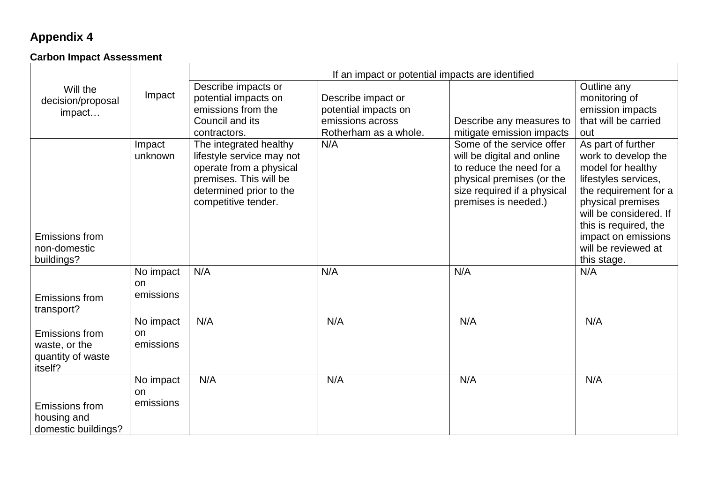## **Appendix 4**

## **Carbon Impact Assessment**

|                                                                        |                              | If an impact or potential impacts are identified                                                                                                           |                                                                   |                                                                                                                                                                         |                                                                                                                                                                                         |
|------------------------------------------------------------------------|------------------------------|------------------------------------------------------------------------------------------------------------------------------------------------------------|-------------------------------------------------------------------|-------------------------------------------------------------------------------------------------------------------------------------------------------------------------|-----------------------------------------------------------------------------------------------------------------------------------------------------------------------------------------|
| Will the<br>decision/proposal                                          | Impact                       | Describe impacts or<br>potential impacts on<br>emissions from the                                                                                          | Describe impact or                                                |                                                                                                                                                                         | Outline any<br>monitoring of                                                                                                                                                            |
| impact                                                                 |                              | Council and its<br>contractors.                                                                                                                            | potential impacts on<br>emissions across<br>Rotherham as a whole. | Describe any measures to<br>mitigate emission impacts                                                                                                                   | emission impacts<br>that will be carried<br>out                                                                                                                                         |
|                                                                        | Impact<br>unknown            | The integrated healthy<br>lifestyle service may not<br>operate from a physical<br>premises. This will be<br>determined prior to the<br>competitive tender. | N/A                                                               | Some of the service offer<br>will be digital and online<br>to reduce the need for a<br>physical premises (or the<br>size required if a physical<br>premises is needed.) | As part of further<br>work to develop the<br>model for healthy<br>lifestyles services,<br>the requirement for a<br>physical premises<br>will be considered. If<br>this is required, the |
| Emissions from<br>non-domestic<br>buildings?                           |                              |                                                                                                                                                            |                                                                   |                                                                                                                                                                         | impact on emissions<br>will be reviewed at<br>this stage.                                                                                                                               |
| Emissions from<br>transport?                                           | No impact<br>on<br>emissions | N/A                                                                                                                                                        | N/A                                                               | N/A                                                                                                                                                                     | N/A                                                                                                                                                                                     |
| <b>Emissions from</b><br>waste, or the<br>quantity of waste<br>itself? | No impact<br>on<br>emissions | N/A                                                                                                                                                        | N/A                                                               | N/A                                                                                                                                                                     | N/A                                                                                                                                                                                     |
| Emissions from<br>housing and<br>domestic buildings?                   | No impact<br>on<br>emissions | N/A                                                                                                                                                        | N/A                                                               | N/A                                                                                                                                                                     | N/A                                                                                                                                                                                     |